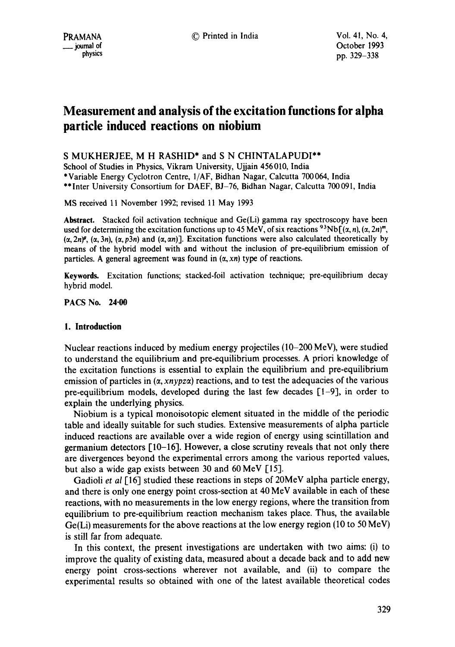# **Measurement and analysis of the excitation functions for alpha particle induced reactions on niobium**

S MUKHERJEE, M H RASHID\* and S N CHINTALAPUDI\*\*

School of Studies in Physics, Vikram University, Ujjain 456010, India \*Variable Energy Cyclotron Centre, 1/AF, Bidhan Nagar, Calcutta 700064, India \*\*Inter University Consortium for DAEF, BJ-76, Bidhan Nagar, Calcutta 700091, India

MS received 11 November 1992; revised 11 May 1993

**Abstract.** Stacked foil activation technique and Ge(Li) gamma ray spectroscopy have been used for determining the excitation functions up to 45 MeV, of six reactions <sup>93</sup>Nb  $[(\alpha, n), (\alpha, 2n)^m]$ ,  $(\alpha, 2n)^{\beta}$ ,  $(\alpha, 3n)$ ,  $(\alpha, p3n)$  and  $(\alpha, \alpha n)$ ]. Excitation functions were also calculated theoretically by means of the hybrid model with and without the inclusion of pre-equilibrium emission of particles. A general agreement was found in  $(\alpha, xn)$  type of reactions.

**Keywords.** Excitation functions; stacked-foil activation technique; pre-equilibrium decay hybrid model.

PACS No. **24.00** 

# **1. Introduction**

Nuclear reactions induced by medium energy projectiles (10-200 MeV), were studied to understand the equilibrium and pre-equilibrium processes. A priori knowledge of the excitation functions is essential to explain the equilibrium and pre-equilibrium emission of particles in  $(\alpha, xnypz\alpha)$  reactions, and to test the adequacies of the various pre-equilibrium models, developed during the last few decades [1-9], in order to explain the underlying physics.

Niobium is a typical monoisotopic element situated in the middle of the periodic table and ideally suitable for such studies. Extensive measurements of alpha particle induced reactions are available over a wide region of energy using scintillation and germanium detectors  $\lceil 10-16 \rceil$ . However, a close scrutiny reveals that not only there are divergences beyond the experimental errors among the various reported values, but also a wide gap exists between 30 and 60 MeV  $[15]$ .

Gadioli *et al* [16] studied these reactions in steps of 20MeV alpha particle energy, and there is only one energy point cross-section at 40 MeV available in each of these reactions, with no measurements in the low energy regions, where the transition from equilibrium to pre-equilibrium reaction mechanism takes place. Thus, the available Ge(Li) measurements for the above reactions at the low energy region (10 to 50 MeV) is still far from adequate.

In this context, the present investigations are undertaken with two aims: (i) to improve the quality of existing data, measured about a decade back and to add new energy point cross-sections wherever not available, and (ii) to compare the experimental results so obtained with one of the latest available theoretical codes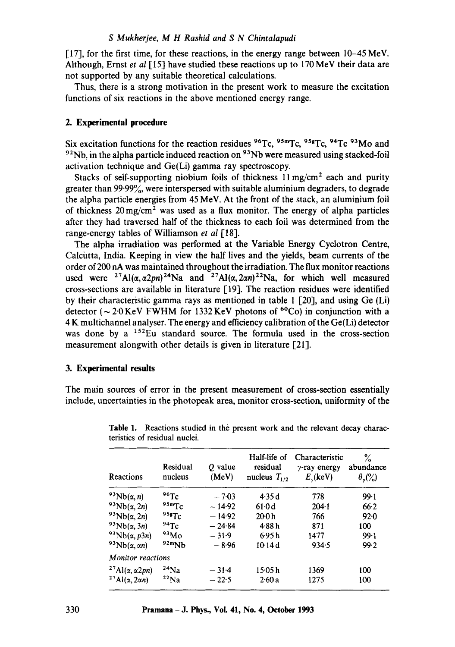#### *S Mukherjee, M H Rashid and S N Chintalapudi*

 $[17]$ , for the first time, for these reactions, in the energy range between  $10-45$  MeV. Although, Ernst et al [15] have studied these reactions up to 170 MeV their data are not supported by any suitable theoretical calculations.

Thus, there is a strong motivation in the present work to measure the excitation functions of six reactions in the above mentioned energy range.

#### **2. Experimental procedure**

Six excitation functions for the reaction residues  $96Tc$ ,  $95Tc$ ,  $95Tc$ ,  $94Tc$   $93Mo$  and  $92$ Nb, in the alpha particle induced reaction on  $93$ Nb were measured using stacked-foil activation technique and Ge(Li) gamma ray spectroscopy.

Stacks of self-supporting niobium foils of thickness  $11 \text{ mg/cm}^2$  each and purity greater than  $99.99\%$ , were interspersed with suitable aluminium degraders, to degrade the alpha particle energies from 45 MeV. At the front of the stack, an aluminium foil of thickness  $20 \,\mathrm{mg/cm^2}$  was used as a flux monitor. The energy of alpha particles after they had traversed half of the thickness to each foil was determined from the range-energy tables of Williamson *et al* [18].

The alpha irradiation was performed at the Variable Energy Cyclotron Centre, Calcutta, India. Keeping in view the half lives and the yields, beam currents of the order of 200 nA was maintained throughout the irradiation. The flux monitor reactions used were <sup>27</sup>Al( $\alpha$ ,  $\alpha$ 2pn)<sup>24</sup>Na and <sup>27</sup>Al( $\alpha$ , 2 $\alpha$ n)<sup>22</sup>Na, for which well measured cross-sections are available in literature I19]. The reaction residues were identified by their characteristic gamma rays as mentioned in table 1 [20], and using Ge (Li) detector ( $\sim$  2.0 KeV FWHM for 1332 KeV photons of <sup>60</sup>Co) in conjunction with a 4 K multichannel analyser. The energy and efficiency calibration of the Ge(Li) detector was done by a  $152$ Eu standard source. The formula used in the cross-section measurement alongwith other details is given in literature [21].

#### **3. Experimental results**

The main sources of error in the present measurement of cross-section essentially include, uncertainties in the photopeak area, monitor cross-section, uniformity of the

| Reactions                                           | Residual<br>nucleus | $\theta$ value<br>(MeV) | Half-life of<br>residual<br>nucleus $T_{1/2}$ | Characteristic<br>$\gamma$ -ray energy<br>$E_{y}$ (keV) | $\%$<br>abundance<br>$\theta_{\gamma}(\%)$ |
|-----------------------------------------------------|---------------------|-------------------------|-----------------------------------------------|---------------------------------------------------------|--------------------------------------------|
| <sup>93</sup> Nb( $\alpha$ , n)                     | 96Tc                | $-7.03$                 | 4.35 d                                        | 778                                                     | 99.1                                       |
| $93Nb(\alpha,2n)$                                   | 95mTc               | $-14.92$                | 61.0d                                         | $204 - 1$                                               | 66.2                                       |
| $93Nb(\alpha,2n)$                                   | $95$ s $Tc$         | $-14.92$                | 20:0 h                                        | 766                                                     | 92.0                                       |
| $93Nb(\alpha,3n)$                                   | 94Tc                | $-24.84$                | 4.88h                                         | 871                                                     | 100                                        |
| $93Nb(\alpha, p3n)$                                 | 93M <sub>0</sub>    | $-31.9$                 | 6.95h                                         | 1477                                                    | 99.1                                       |
| $93Nb(\alpha,\alpha n)$                             | 92mNb               | $-8.96$                 | 10.14d                                        | 934.5                                                   | 99.2                                       |
| <b>Monitor reactions</b>                            |                     |                         |                                               |                                                         |                                            |
| <sup>27</sup> Al( $\alpha$ , $\alpha$ 2 <i>pn</i> ) | $24$ Na             | $-31.4$                 | 15·05 h                                       | 1369                                                    | 100                                        |
| <sup>27</sup> Al( $\alpha$ , 2 $\alpha$ n)          | $22$ Na             | $-22.5$                 | 2.60a                                         | 1275                                                    | 100                                        |

**Table** 1. Reactions studied in the present work and the relevant decay characteristics of residual nuclei.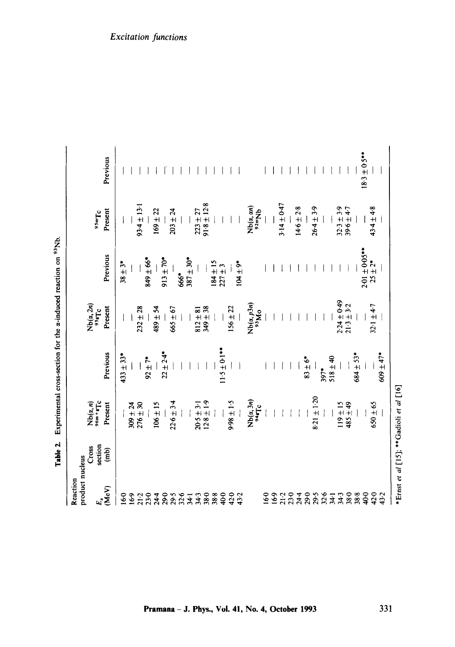| Reaction          |                                    |                                          |                  |                                                                              |                                   |                                    |                   |
|-------------------|------------------------------------|------------------------------------------|------------------|------------------------------------------------------------------------------|-----------------------------------|------------------------------------|-------------------|
| product nucleus   |                                    |                                          |                  |                                                                              |                                   |                                    |                   |
|                   | Cross                              | $Nb(\alpha, n)$<br>96m + # $T_c$         |                  | $Nb(\alpha, 2n)$<br>954 $Tc$                                                 |                                   |                                    |                   |
|                   | section                            |                                          |                  |                                                                              |                                   | <sup>95mTc</sup>                   |                   |
| $E_a$<br>(MeV)    | $\widehat{(\mathbf{m}\mathbf{b})}$ | Present                                  | Previous         | Present                                                                      | Previous                          | Present                            | Previous          |
| 160               |                                    |                                          | $433 \pm 33*$    |                                                                              | $38 \pm 3*$                       |                                    |                   |
| 169               |                                    | $309 \pm 24$<br>$276 \pm 30$             |                  |                                                                              |                                   |                                    |                   |
|                   |                                    |                                          |                  | $232 \pm 28$                                                                 |                                   | $93.4 \pm 13.1$                    |                   |
| $21.2$<br>$23.0$  |                                    |                                          | $92 + 7*$        |                                                                              | $849 \pm 66$ *                    |                                    |                   |
| $24-4$            |                                    | $106 \pm 15$                             |                  | 489±54                                                                       |                                   | $169 \pm 22$                       |                   |
| 29.0              |                                    |                                          | $22 \pm 2.4$ *   |                                                                              | $913 \pm 70*$                     |                                    |                   |
| $3.56$<br>$3.541$ |                                    | $22.6 \pm 3.4$                           |                  | $665 \pm 67$                                                                 |                                   | $203 \pm 24$                       |                   |
|                   |                                    |                                          |                  |                                                                              | 666*                              |                                    |                   |
|                   |                                    |                                          |                  |                                                                              | $-0.65 + 2.88$                    |                                    |                   |
| 34.3              |                                    |                                          |                  |                                                                              |                                   |                                    |                   |
| 38.0              |                                    | $20.5 \pm 3.1$<br>12.8 ± 1.9             |                  | $812 \pm 81$<br>$349 \pm 38$                                                 |                                   | $223 \pm 27$<br>91.8 $\pm$ 12.8    |                   |
|                   |                                    |                                          |                  |                                                                              |                                   |                                    |                   |
|                   |                                    |                                          | $1.5 \pm 0.1***$ |                                                                              | $184 \pm 15$<br>227 $\pm 3$       |                                    |                   |
|                   |                                    | $5.1 \pm 1.5$                            |                  | $156 \pm 22$                                                                 |                                   |                                    |                   |
| 880022<br>88423   |                                    |                                          |                  |                                                                              | $104 \pm 9$ *                     |                                    |                   |
|                   |                                    | $Nb(\alpha,3n)$                          |                  |                                                                              |                                   |                                    |                   |
|                   |                                    | 31446                                    |                  | $\mathop{\rm Nb}\nolimits_{(a,\,p3n)}^{\mathop{\rm N}\nolimits_{(a,\,p3n)}}$ |                                   | $Nb(\alpha, \alpha n)$<br>92m $Nb$ |                   |
| $\frac{6}{9}$     |                                    |                                          |                  |                                                                              |                                   |                                    |                   |
|                   |                                    |                                          |                  |                                                                              |                                   |                                    |                   |
| 169<br>212<br>230 |                                    |                                          |                  |                                                                              |                                   | $3.14 \pm 0.47$                    |                   |
|                   |                                    |                                          |                  |                                                                              |                                   |                                    |                   |
| $24-4$            |                                    |                                          |                  |                                                                              |                                   | $14.6 \pm 2.8$                     |                   |
| 29-0              |                                    |                                          | $83 \pm 6*$      |                                                                              |                                   |                                    |                   |
| 23473             |                                    | $8.21 \pm 1.20$                          |                  |                                                                              |                                   | $26.4 \pm 3.9$                     |                   |
|                   |                                    |                                          | $397*$           |                                                                              |                                   |                                    |                   |
|                   |                                    |                                          | $518 \pm 40$     |                                                                              |                                   |                                    |                   |
|                   |                                    |                                          |                  |                                                                              |                                   |                                    |                   |
|                   |                                    | $119 \pm 15$<br>485 ± 49                 |                  | $2.24 \pm 0.49$<br>21.3 $\pm$ 3.2                                            |                                   | $32.3 \pm 3.9$<br>$39.6 \pm 4.7$   |                   |
| $38800$<br>$3842$ |                                    |                                          | $684 \pm 53*$    |                                                                              |                                   |                                    |                   |
|                   |                                    |                                          |                  |                                                                              |                                   |                                    | $18.3 \pm 0.5***$ |
|                   |                                    | $650 \pm 65$                             |                  | $32.1 \pm 4.7$                                                               | $2.01 \pm 0.05***$<br>$25 \pm 2*$ | $43.4 \pm 4.8$                     |                   |
| 43.2              |                                    |                                          | $609 \pm 47*$    |                                                                              |                                   |                                    |                   |
|                   |                                    | *Ernst et al [15]; ** Gadioli et al [16] |                  |                                                                              |                                   |                                    |                   |

**Table 2.** Experimental cross-section for the  $\alpha$ -induced reaction on  $\alpha$ <sup>3</sup>Nb. Table 2. Experimental cross-section for the a-induced reaction on <sup>93</sup>Nb. Excitation functions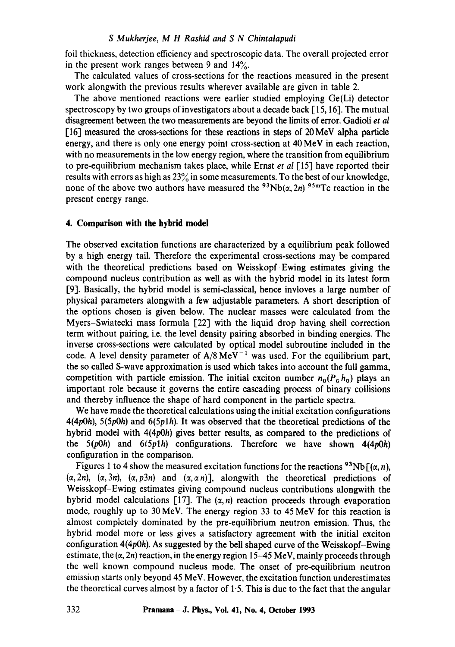### *S Mukherjee, M H Rashid and S N Chintalapudi*

foil thickness, detection efficiency and spectroscopic data. The overall projected error in the present work ranges between 9 and  $14\%$ .

The calculated values of cross-sections for the reactions measured in the present work alongwith the previous results wherever available are given in table 2.

The above mentioned reactions were earlier studied employing Ge(Li) detector spectroscopy by two groups of investigators about a decade back [15, 16]. The mutual disagreement between the two measurements are beyond the limits of error. Gadioli *et al*  [16] measured the cross-sections for these reactions in steps of 20MeV alpha particle energy, and there is only one energy point cross-section at 40 MeV in each reaction, with no measurements in the low energy region, where the transition from equilibrium to pre-equilibrium mechanism takes place, while Ernst *et al* [ 15] have reported their results with errors as high as  $23\%$  in some measurements. To the best of our knowledge, none of the above two authors have measured the  $93Nb(\alpha, 2n)$   $95mTc$  reaction in the present energy range.

### **4. Comparison with the hybrid model**

The observed excitation functions are characterized by a equilibrium peak followed by a high energy tail. Therefore the experimental cross-sections may be compared with the theoretical predictions based on Weisskopf-Ewing estimates giving the compound nucleus contribution as well as with the hybrid model in its latest form [9]. Basically, the hybrid model is semi-classical, hence invloves a large number of physical parameters alongwith a few adjustable parameters. A short description of the options chosen is given below. The nuclear masses were calculated from the Myers-Swiatecki mass formula [22] with the liquid drop having shell correction term without pairing, i.e. the level density pairing absorbed in binding energies. The inverse cross-sections were calculated by optical model subroutine included in the code. A level density parameter of  $A/8 \text{ MeV}^{-1}$  was used. For the equilibrium part, the so called S-wave approximation is used which takes into account the full gamma, competition with particle emission. The initial exciton number  $n_0(P_0 h_0)$  plays an important role because it governs the entire cascading process of binary collisions and thereby influence the shape of hard component in the particle spectra.

We have made the theoretical calculations using the initial excitation configurations  $4(4p0h)$ ,  $5(5p0h)$  and  $6(5p1h)$ . It was observed that the theoretical predictions of the hybrid model with 4(4p0h) gives better results, as compared to the predictions of the 5(p0h) and *6(5plh)* configurations. Therefore we have shown 4(4p0h) configuration in the comparison.

Figures 1 to 4 show the measured excitation functions for the reactions <sup>93</sup>Nb[( $\alpha$ , *n*),  $(\alpha, 2n)$ ,  $(\alpha, 3n)$ ,  $(\alpha, p3n)$  and  $(\alpha, \alpha, n)$ ], alongwith the theoretical predictions of Weisskopf-Ewing estimates giving compound nucleus contributions alongwith the hybrid model calculations [17]. The  $(\alpha, n)$  reaction proceeds through evaporation mode, roughly up to 30 MeV. The energy region 33 to 45 MeV for this reaction is almost completely dominated by the pre-equilibrium neutron emission. Thus, the hybrid model more or less gives a satisfactory agreement with the initial exciton configuration  $4(4p0h)$ . As suggested by the bell shaped curve of the Weisskopf-Ewing estimate, the  $(\alpha, 2n)$  reaction, in the energy region 15-45 MeV, mainly proceeds through the well known compound nucleus mode. The onset of pre-equilibrium neutron emission starts only beyond 45 MeV. However, the excitation function underestimates the theoretical curves almost by a factor of  $1.5$ . This is due to the fact that the angular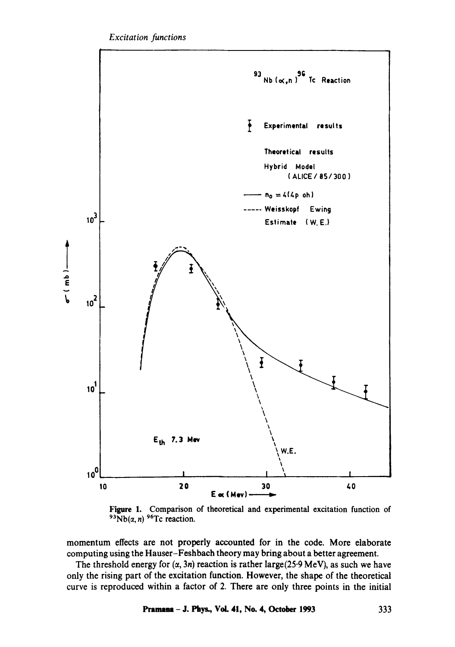

Figure 1. Comparison of theoretical and experimental excitation function of  $93Nb(\alpha, n)$  <sup>96</sup>Tc reaction.

momentum effects are not properly accounted for in the code. More elaborate computing using the Hauser-Feshbach theory may bring about a better agreement.

The threshold energy for  $(\alpha, 3n)$  reaction is rather large(25.9 MeV), as such we have only the rising part of the excitation function. However, the shape of the theoretical curve is reproduced within a factor of 2. There are only three points in the initial

Pramana - J. Phys., Vol. 41, No. 4, October 1993 333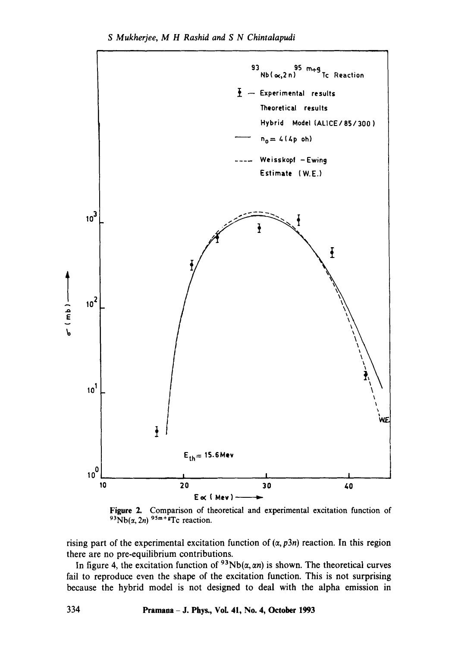



rising part of the experimental excitation function of  $(\alpha, p3n)$  reaction. In this region there are no pre-equilibrium contributions.

In figure 4, the excitation function of  $93Nb(\alpha, \alpha n)$  is shown. The theoretical curves fail to reproduce even the shape of the excitation function. This is not surprising because the hybrid model is not designed to deal with the alpha emission in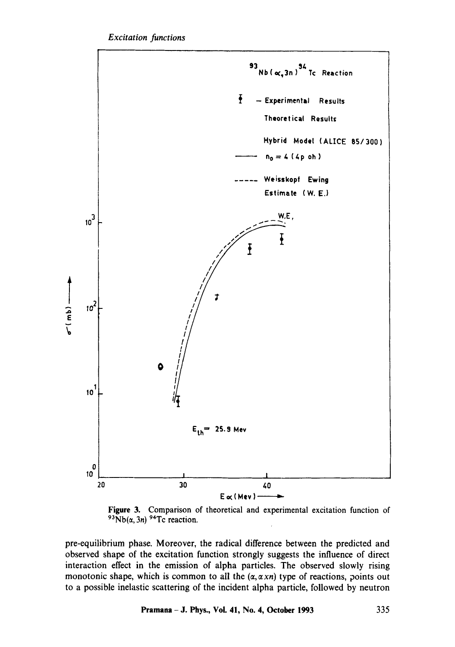

**Figure** 3. Comparison of theoretical and experimental excitation function of  $93Nb(\alpha, 3n)$  <sup>94</sup>Tc reaction.

pre-equilibrium phase. Moreover, the radical difference between the predicted and observed shape of the excitation function strongly suggests the influence of direct interaction effect in the emission of alpha particles. The observed slowly rising monotonic shape, which is common to all the  $(\alpha, \alpha xn)$  type of reactions, points out to a possible inelastic scattering of the incident alpha particle, followed by neutron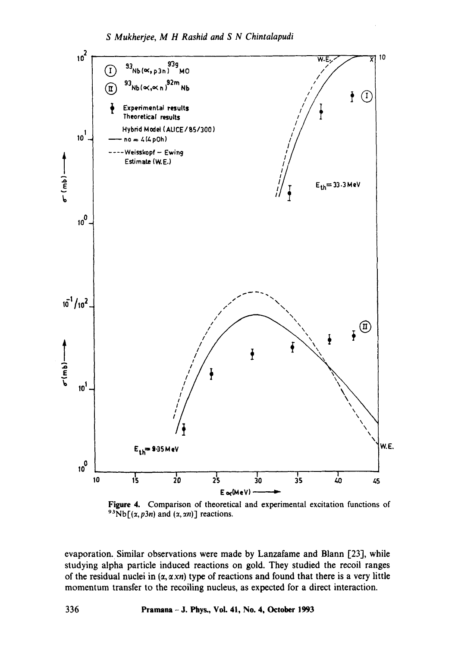

Figure 4. Comparison of theoretical and experimental excitation functions of <sup>93</sup>Nb[ $(x, p3n)$  and  $(x, \alpha n)$ ] reactions.

evaporation. Similar observations were made by Lanzafame and Blann [23], while studying alpha particle induced reactions on gold. They studied the recoil ranges of the residual nuclei in  $(\alpha, \alpha \times n)$  type of reactions and found that there is a very little momentum transfer to the recoiling nucleus, as expected for a direct interaction.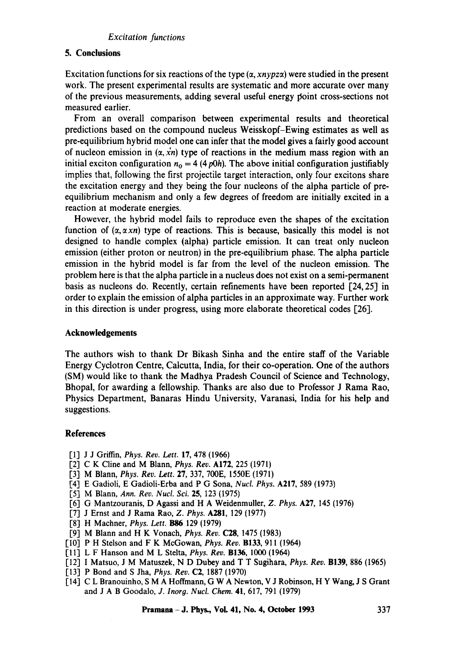### *Excitation functions*

# **5. Conclusions**

Excitation functions for six reactions of the type  $(\alpha, xn\gamma p z\alpha)$  were studied in the present work. The present experimental results are systematic and more accurate over many of the previous measurements, adding several useful energy point cross-sections not measured earlier.

From an overall comparison between experimental results and theoretical predictions based on the compound nucleus Weisskopf-Ewing estimates as well as pre-equilibrium hybrid model one can infer that the model gives a fairly good account of nucleon emission in  $(\alpha, \dot{x}_n)$  type of reactions in the medium mass region with an initial exciton configuration  $n_0 = 4$  (4 p0h). The above initial configuration justifiably implies that, following the first projectile target interaction, only four excitons share the excitation energy and they being the four nucleons of the alpha particle of preequilibrium mechanism and only a few degrees of freedom are initially excited in a reaction at moderate energies.

However, the hybrid model fails to reproduce even the shapes of the excitation function of  $(\alpha, \alpha xn)$  type of reactions. This is because, basically this model is not designed to handle complex (alpha) particle emission. It can treat only nucleon emission (either proton or neutron) in the pre-equilibrium phase. The alpha particle emission in the hybrid model is far from the level of the nucleon emission. The problem here is that the alpha particle in a nucleus does not exist on a semi-permanent basis as nucleons do. Recently, certain refinements have been reported [24, 25] in order to explain the emission of alpha particles in an approximate way. Further work in this direction is under progress, using more elaborate theoretical codes [26].

#### **Acknowledgements**

The authors wish to thank Dr Bikash Sinha and the entire staff of the Variable Energy Cyclotron Centre, Calcutta, India, for their co-operation. One of the authors (SM) would like to thank the Madhya Pradesh Council of Science and Technology, Bhopal, for awarding a fellowship. Thanks are also due to Professor J Rama Rao, Physics Department, Banaras Hindu University, Varanasi, India for his help and suggestions.

# **References**

- [1] J J Griffin, *Phys. Rev. Lett.* 17, 478 (1966)
- [2] C K Cline and M Blann, *Phys. Rev.* A172, 225 (1971)
- [3] M Blann, *Phys. Rev. Lett.* 27, 337, 700E, 1550E (1971)
- [4] E Gadioli, E Gadioli-Erba and P G Sona, *Nucl. Phys.* A217, 589 (1973)
- [5] M Blann, *Ann. Rev. Nuct. Sci.* 25, 123 (1975)
- [6] G Mantzouranis, D Agassi and H A Weidenmuller, *Z. Phys.* **A27**, 145 (1976)
- [7] J Ernst and J Rama Rao, *Z. Phys.* A281, 129 (1977)
- [8] H Machner, *Phys. Lett.* **B86** 129 (1979)
- [9] M Blann and H K Vonach, *Phys. Rev.* C28, 1475 (1983)
- [10] P H Stelson and F K McGowan, *Phys. Rev.* B133, 911 (1964)
- Ill] L F Hanson and M L Stelta, *Phys. Rev.* B136, 1000 (1964)
- [12] I Matsuo, J M Matuszek, N D Dubey and T T Sugihara, *Phys. Rev.* B139, 886 (1965)
- [13] P Bond and S Jha, *Phys. Rev.* C2, 1887 (1970)
- [14] C L Branouinho, S M A Hoffmann, G W A Newton, V J Robinson, H Y Wang, J S Grant and J A B Goodalo, *J. Inorg. Nucl. Chem.* 41, 617, 791 (1979)